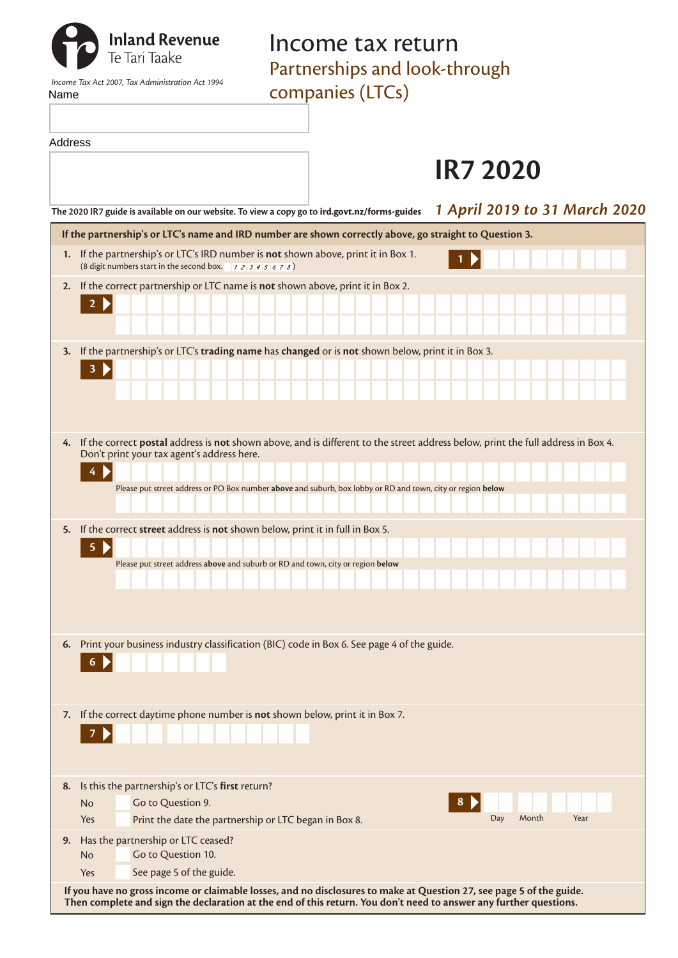| Name    | <b>Inland Revenue</b><br>Te Tari Taake<br>Income Tax Act 2007, Tax Administration Act 1994                                                   | Income tax return<br>Partnerships and look-through<br>companies (LTCs)                                      |                                                                                                                                  |
|---------|----------------------------------------------------------------------------------------------------------------------------------------------|-------------------------------------------------------------------------------------------------------------|----------------------------------------------------------------------------------------------------------------------------------|
| Address |                                                                                                                                              |                                                                                                             | <b>IR7 2020</b>                                                                                                                  |
|         | The 2020 IR7 guide is available on our website. To view a copy go to ird.govt.nz/forms-guides                                                |                                                                                                             | 1 April 2019 to 31 March 2020                                                                                                    |
|         | If the partnership's or LTC's name and IRD number are shown correctly above, go straight to Question 3.                                      |                                                                                                             |                                                                                                                                  |
|         | 1. If the partnership's or LTC's IRD number is not shown above, print it in Box 1.<br>(8 digit numbers start in the second box. $12345678$ ) |                                                                                                             |                                                                                                                                  |
| 2.      | If the correct partnership or LTC name is not shown above, print it in Box 2.                                                                |                                                                                                             |                                                                                                                                  |
|         |                                                                                                                                              |                                                                                                             |                                                                                                                                  |
|         |                                                                                                                                              |                                                                                                             |                                                                                                                                  |
| 3.      | If the partnership's or LTC's trading name has changed or is not shown below, print it in Box 3.                                             |                                                                                                             |                                                                                                                                  |
| 4.      | Don't print your tax agent's address here.                                                                                                   | Please put street address or PO Box number above and suburb, box lobby or RD and town, city or region below | If the correct postal address is not shown above, and is different to the street address below, print the full address in Box 4. |
| 5.      | If the correct street address is not shown below, print it in full in Box 5.                                                                 |                                                                                                             |                                                                                                                                  |
|         | 5                                                                                                                                            | Please put street address above and suburb or RD and town, city or region below                             |                                                                                                                                  |
| 6.      | Print your business industry classification (BIC) code in Box 6. See page 4 of the guide.<br>6                                               |                                                                                                             |                                                                                                                                  |
| 7.      | If the correct daytime phone number is not shown below, print it in Box 7.                                                                   |                                                                                                             |                                                                                                                                  |
| 8.      | Is this the partnership's or LTC's first return?                                                                                             |                                                                                                             |                                                                                                                                  |
|         | Go to Question 9.<br><b>No</b><br>Print the date the partnership or LTC began in Box 8.<br>Yes                                               |                                                                                                             | 8<br>Day<br>Month<br>Year                                                                                                        |
| 9.      | Has the partnership or LTC ceased?                                                                                                           |                                                                                                             |                                                                                                                                  |
|         | Go to Question 10.<br><b>No</b>                                                                                                              |                                                                                                             |                                                                                                                                  |
|         | See page 5 of the guide.<br>Yes                                                                                                              |                                                                                                             |                                                                                                                                  |

**If you have no gross income or claimable losses, and no disclosures to make at Question 27, see page 5 of the guide. Then complete and sign the declaration at the end of this return. You don't need to answer any further questions.**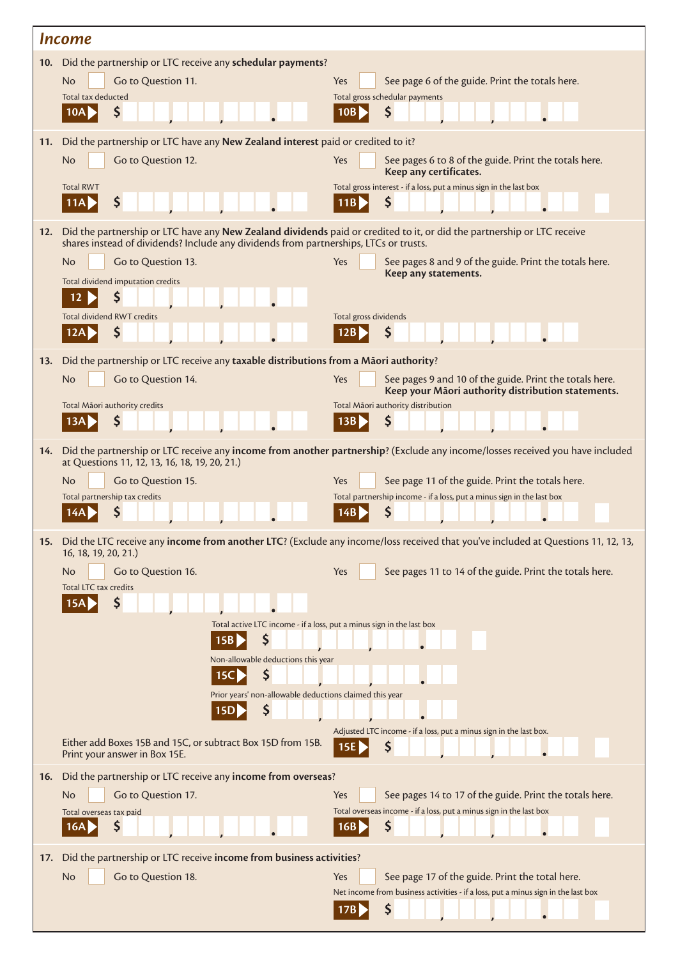| <i><u><b>Income</b></u></i>                                    |                                                                                                                                                                                                                  |                                                                                                                                      |  |  |  |
|----------------------------------------------------------------|------------------------------------------------------------------------------------------------------------------------------------------------------------------------------------------------------------------|--------------------------------------------------------------------------------------------------------------------------------------|--|--|--|
| 10. Did the partnership or LTC receive any schedular payments? |                                                                                                                                                                                                                  |                                                                                                                                      |  |  |  |
|                                                                | Go to Question 11.<br><b>No</b>                                                                                                                                                                                  | See page 6 of the guide. Print the totals here.<br>Yes                                                                               |  |  |  |
|                                                                | Total tax deducted<br>10A<br>S                                                                                                                                                                                   | Total gross schedular payments<br>S<br>10B                                                                                           |  |  |  |
|                                                                |                                                                                                                                                                                                                  |                                                                                                                                      |  |  |  |
| 11.                                                            | Did the partnership or LTC have any New Zealand interest paid or credited to it?                                                                                                                                 |                                                                                                                                      |  |  |  |
|                                                                | No<br>Go to Question 12.                                                                                                                                                                                         | See pages 6 to 8 of the guide. Print the totals here.<br>Yes<br>Keep any certificates.                                               |  |  |  |
|                                                                | <b>Total RWT</b>                                                                                                                                                                                                 | Total gross interest - if a loss, put a minus sign in the last box                                                                   |  |  |  |
|                                                                | \$<br>11AI                                                                                                                                                                                                       | \$                                                                                                                                   |  |  |  |
| 12.                                                            | Did the partnership or LTC have any New Zealand dividends paid or credited to it, or did the partnership or LTC receive<br>shares instead of dividends? Include any dividends from partnerships, LTCs or trusts. |                                                                                                                                      |  |  |  |
|                                                                | <b>No</b><br>Go to Question 13.                                                                                                                                                                                  | Yes<br>See pages 8 and 9 of the guide. Print the totals here.                                                                        |  |  |  |
|                                                                | Total dividend imputation credits                                                                                                                                                                                | Keep any statements.                                                                                                                 |  |  |  |
|                                                                | \$<br>12                                                                                                                                                                                                         |                                                                                                                                      |  |  |  |
|                                                                | Total dividend RWT credits<br>Ş                                                                                                                                                                                  | Total gross dividends<br>\$                                                                                                          |  |  |  |
|                                                                |                                                                                                                                                                                                                  |                                                                                                                                      |  |  |  |
| 13.                                                            | Did the partnership or LTC receive any taxable distributions from a Maori authority?                                                                                                                             |                                                                                                                                      |  |  |  |
|                                                                | <b>No</b><br>Go to Question 14.                                                                                                                                                                                  | See pages 9 and 10 of the guide. Print the totals here.<br>Yes<br>Keep your Māori authority distribution statements.                 |  |  |  |
|                                                                | Total Māori authority credits                                                                                                                                                                                    | Total Māori authority distribution                                                                                                   |  |  |  |
|                                                                | \$<br>13A                                                                                                                                                                                                        | \$<br>13B                                                                                                                            |  |  |  |
| 14.                                                            | at Questions 11, 12, 13, 16, 18, 19, 20, 21.)                                                                                                                                                                    | Did the partnership or LTC receive any income from another partnership? (Exclude any income/losses received you have included        |  |  |  |
|                                                                | <b>No</b><br>Go to Question 15.                                                                                                                                                                                  | See page 11 of the guide. Print the totals here.<br>Yes                                                                              |  |  |  |
|                                                                | Total partnership tax credits                                                                                                                                                                                    | Total partnership income - if a loss, put a minus sign in the last box<br>\$                                                         |  |  |  |
|                                                                |                                                                                                                                                                                                                  |                                                                                                                                      |  |  |  |
|                                                                | 16, 18, 19, 20, 21.)                                                                                                                                                                                             | 15. Did the LTC receive any income from another LTC? (Exclude any income/loss received that you've included at Questions 11, 12, 13, |  |  |  |
|                                                                | Go to Question 16.<br><b>No</b>                                                                                                                                                                                  | See pages 11 to 14 of the guide. Print the totals here.<br>Yes                                                                       |  |  |  |
|                                                                | Total LTC tax credits<br>\$                                                                                                                                                                                      |                                                                                                                                      |  |  |  |
|                                                                | Total active LTC income - if a loss, put a minus sign in the last box                                                                                                                                            |                                                                                                                                      |  |  |  |
|                                                                | \$<br>15B                                                                                                                                                                                                        |                                                                                                                                      |  |  |  |
|                                                                | Non-allowable deductions this year                                                                                                                                                                               |                                                                                                                                      |  |  |  |
|                                                                | \$<br>15C                                                                                                                                                                                                        |                                                                                                                                      |  |  |  |
|                                                                | Prior years' non-allowable deductions claimed this year<br>\$<br>15D                                                                                                                                             |                                                                                                                                      |  |  |  |
|                                                                |                                                                                                                                                                                                                  | Adjusted LTC income - if a loss, put a minus sign in the last box.                                                                   |  |  |  |
|                                                                | Either add Boxes 15B and 15C, or subtract Box 15D from 15B.<br>Print your answer in Box 15E.                                                                                                                     | \$<br>$\overline{15E}$                                                                                                               |  |  |  |
| 16.                                                            | Did the partnership or LTC receive any income from overseas?                                                                                                                                                     |                                                                                                                                      |  |  |  |
|                                                                | <b>No</b><br>Go to Question 17.                                                                                                                                                                                  | Yes<br>See pages 14 to 17 of the guide. Print the totals here.                                                                       |  |  |  |
|                                                                | Total overseas tax paid<br>Ş<br>16A                                                                                                                                                                              | Total overseas income - if a loss, put a minus sign in the last box<br>\$<br>16B                                                     |  |  |  |
| 17.                                                            | Did the partnership or LTC receive income from business activities?                                                                                                                                              |                                                                                                                                      |  |  |  |
|                                                                | <b>No</b><br>Go to Question 18.                                                                                                                                                                                  | Yes<br>See page 17 of the guide. Print the total here.                                                                               |  |  |  |
|                                                                |                                                                                                                                                                                                                  | Net income from business activities - if a loss, put a minus sign in the last box                                                    |  |  |  |
|                                                                |                                                                                                                                                                                                                  | \$                                                                                                                                   |  |  |  |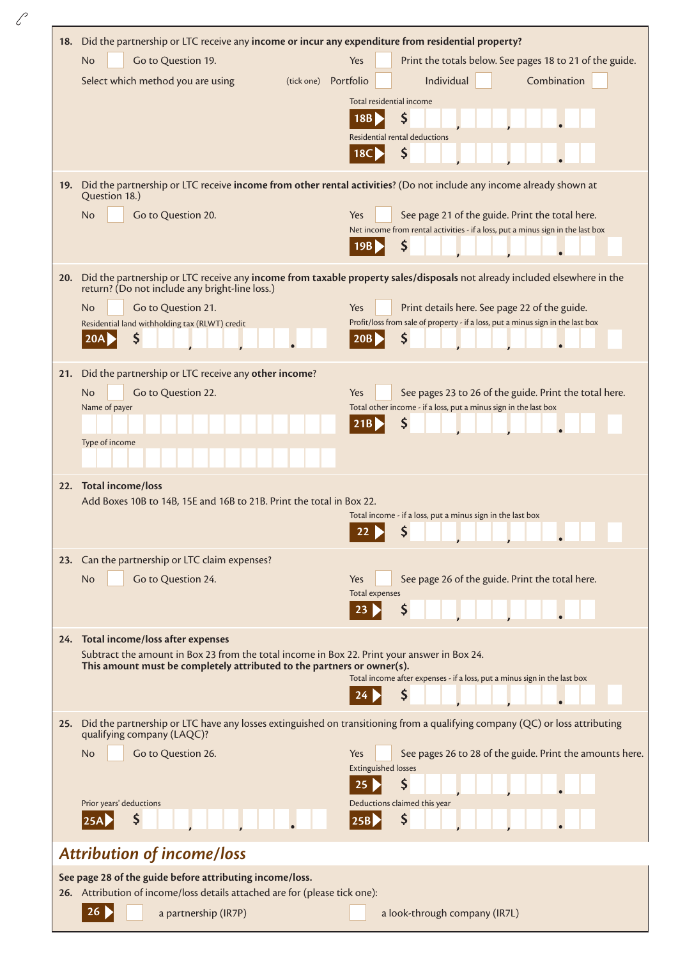| 18. | Did the partnership or LTC receive any income or incur any expenditure from residential property?                                                                           |                                                                                                                                           |  |  |  |
|-----|-----------------------------------------------------------------------------------------------------------------------------------------------------------------------------|-------------------------------------------------------------------------------------------------------------------------------------------|--|--|--|
|     | Go to Question 19.<br><b>No</b>                                                                                                                                             | Print the totals below. See pages 18 to 21 of the guide.<br>Yes                                                                           |  |  |  |
|     | Select which method you are using                                                                                                                                           | Individual<br>Combination<br>(tick one) Portfolio                                                                                         |  |  |  |
|     |                                                                                                                                                                             | Total residential income                                                                                                                  |  |  |  |
|     |                                                                                                                                                                             | \$<br>18B<br>Residential rental deductions                                                                                                |  |  |  |
|     |                                                                                                                                                                             | \$<br><b>18C</b>                                                                                                                          |  |  |  |
|     | 19. Did the partnership or LTC receive income from other rental activities? (Do not include any income already shown at                                                     |                                                                                                                                           |  |  |  |
|     | Question 18.)                                                                                                                                                               |                                                                                                                                           |  |  |  |
|     | <b>No</b><br>Go to Question 20.                                                                                                                                             | See page 21 of the guide. Print the total here.<br>Yes<br>Net income from rental activities - if a loss, put a minus sign in the last box |  |  |  |
|     |                                                                                                                                                                             | \$<br>19B                                                                                                                                 |  |  |  |
| 20. | Did the partnership or LTC receive any income from taxable property sales/disposals not already included elsewhere in the<br>return? (Do not include any bright-line loss.) |                                                                                                                                           |  |  |  |
|     | No<br>Go to Question 21.                                                                                                                                                    | Yes<br>Print details here. See page 22 of the guide.                                                                                      |  |  |  |
|     | Residential land withholding tax (RLWT) credit<br>\$                                                                                                                        | Profit/loss from sale of property - if a loss, put a minus sign in the last box<br>\$<br>20B                                              |  |  |  |
|     | 20A                                                                                                                                                                         |                                                                                                                                           |  |  |  |
| 21. | Did the partnership or LTC receive any other income?                                                                                                                        |                                                                                                                                           |  |  |  |
|     | Go to Question 22.<br>No<br>Name of payer                                                                                                                                   | See pages 23 to 26 of the guide. Print the total here.<br>Yes<br>Total other income - if a loss, put a minus sign in the last box         |  |  |  |
|     |                                                                                                                                                                             | \$<br>21B                                                                                                                                 |  |  |  |
|     | Type of income                                                                                                                                                              |                                                                                                                                           |  |  |  |
|     |                                                                                                                                                                             |                                                                                                                                           |  |  |  |
| 22. | <b>Total income/loss</b>                                                                                                                                                    |                                                                                                                                           |  |  |  |
|     | Add Boxes 10B to 14B, 15E and 16B to 21B. Print the total in Box 22.                                                                                                        | Total income - if a loss, put a minus sign in the last box                                                                                |  |  |  |
|     |                                                                                                                                                                             | \$<br>22                                                                                                                                  |  |  |  |
|     | 23. Can the partnership or LTC claim expenses?                                                                                                                              |                                                                                                                                           |  |  |  |
|     | Go to Question 24.<br>No                                                                                                                                                    | See page 26 of the guide. Print the total here.<br>Yes                                                                                    |  |  |  |
|     |                                                                                                                                                                             | Total expenses<br>\$                                                                                                                      |  |  |  |
|     |                                                                                                                                                                             |                                                                                                                                           |  |  |  |
|     | 24. Total income/loss after expenses<br>Subtract the amount in Box 23 from the total income in Box 22. Print your answer in Box 24.                                         |                                                                                                                                           |  |  |  |
|     | This amount must be completely attributed to the partners or owner(s).                                                                                                      | Total income after expenses - if a loss, put a minus sign in the last box                                                                 |  |  |  |
|     |                                                                                                                                                                             | \$                                                                                                                                        |  |  |  |
| 25. |                                                                                                                                                                             | Did the partnership or LTC have any losses extinguished on transitioning from a qualifying company (QC) or loss attributing               |  |  |  |
|     | qualifying company (LAQC)?                                                                                                                                                  |                                                                                                                                           |  |  |  |
|     | No<br>Go to Question 26.                                                                                                                                                    | See pages 26 to 28 of the guide. Print the amounts here.<br>Yes<br><b>Extinguished losses</b>                                             |  |  |  |
|     |                                                                                                                                                                             | \$                                                                                                                                        |  |  |  |
|     | Prior years' deductions                                                                                                                                                     | Deductions claimed this year                                                                                                              |  |  |  |
|     | S                                                                                                                                                                           | Ş<br>$\vert 25B\rangle$                                                                                                                   |  |  |  |
|     | <b>Attribution of income/loss</b>                                                                                                                                           |                                                                                                                                           |  |  |  |
|     | See page 28 of the guide before attributing income/loss.<br>26. Attribution of income/loss details attached are for (please tick one):                                      |                                                                                                                                           |  |  |  |
|     | 26<br>a partnership (IR7P)                                                                                                                                                  | a look-through company (IR7L)                                                                                                             |  |  |  |
|     |                                                                                                                                                                             |                                                                                                                                           |  |  |  |

 $\mathscr{C}$